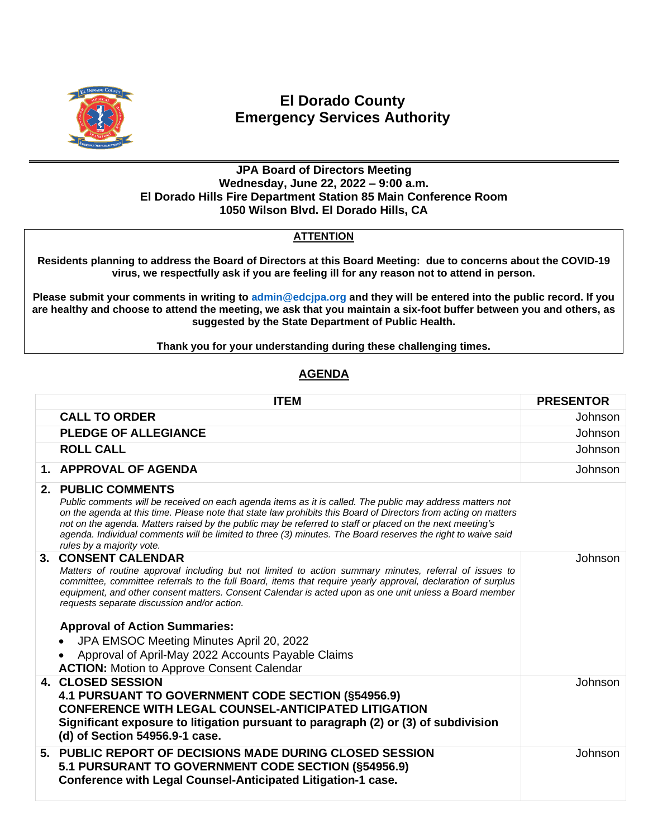

## **El Dorado County Emergency Services Authority**

## **JPA Board of Directors Meeting Wednesday, June 22, 2022 – 9:00 a.m. El Dorado Hills Fire Department Station 85 Main Conference Room 1050 Wilson Blvd. El Dorado Hills, CA**

## **ATTENTION**

**Residents planning to address the Board of Directors at this Board Meeting: due to concerns about the COVID-19 virus, we respectfully ask if you are feeling ill for any reason not to attend in person.**

**Please submit your comments in writing to [admin@edcjpa.org](mailto:admin@edcjpa.com) and they will be entered into the public record. If you are healthy and choose to attend the meeting, we ask that you maintain a six-foot buffer between you and others, as suggested by the State Department of Public Health.**

**Thank you for your understanding during these challenging times.**

## **AGENDA**

|      | <b>ITEM</b>                                                                                                                                                                                                                                                                                                                                                                                                                                                                                                                                                                                               | <b>PRESENTOR</b> |
|------|-----------------------------------------------------------------------------------------------------------------------------------------------------------------------------------------------------------------------------------------------------------------------------------------------------------------------------------------------------------------------------------------------------------------------------------------------------------------------------------------------------------------------------------------------------------------------------------------------------------|------------------|
|      | <b>CALL TO ORDER</b>                                                                                                                                                                                                                                                                                                                                                                                                                                                                                                                                                                                      | Johnson          |
|      | <b>PLEDGE OF ALLEGIANCE</b>                                                                                                                                                                                                                                                                                                                                                                                                                                                                                                                                                                               | <b>Johnson</b>   |
|      | <b>ROLL CALL</b>                                                                                                                                                                                                                                                                                                                                                                                                                                                                                                                                                                                          | Johnson          |
|      | 1. APPROVAL OF AGENDA                                                                                                                                                                                                                                                                                                                                                                                                                                                                                                                                                                                     | <b>Johnson</b>   |
|      | 2. PUBLIC COMMENTS<br>Public comments will be received on each agenda items as it is called. The public may address matters not<br>on the agenda at this time. Please note that state law prohibits this Board of Directors from acting on matters<br>not on the agenda. Matters raised by the public may be referred to staff or placed on the next meeting's<br>agenda. Individual comments will be limited to three (3) minutes. The Board reserves the right to waive said<br>rules by a majority vote.                                                                                               |                  |
| $3-$ | <b>CONSENT CALENDAR</b><br>Matters of routine approval including but not limited to action summary minutes, referral of issues to<br>committee, committee referrals to the full Board, items that require yearly approval, declaration of surplus<br>equipment, and other consent matters. Consent Calendar is acted upon as one unit unless a Board member<br>requests separate discussion and/or action.<br><b>Approval of Action Summaries:</b><br>JPA EMSOC Meeting Minutes April 20, 2022<br>Approval of April-May 2022 Accounts Payable Claims<br><b>ACTION:</b> Motion to Approve Consent Calendar | Johnson          |
|      | <b>4. CLOSED SESSION</b><br>4.1 PURSUANT TO GOVERNMENT CODE SECTION (§54956.9)<br><b>CONFERENCE WITH LEGAL COUNSEL-ANTICIPATED LITIGATION</b><br>Significant exposure to litigation pursuant to paragraph (2) or (3) of subdivision<br>(d) of Section 54956.9-1 case.                                                                                                                                                                                                                                                                                                                                     | <b>Johnson</b>   |
|      | 5. PUBLIC REPORT OF DECISIONS MADE DURING CLOSED SESSION<br>5.1 PURSURANT TO GOVERNMENT CODE SECTION (§54956.9)<br>Conference with Legal Counsel-Anticipated Litigation-1 case.                                                                                                                                                                                                                                                                                                                                                                                                                           | <b>Johnson</b>   |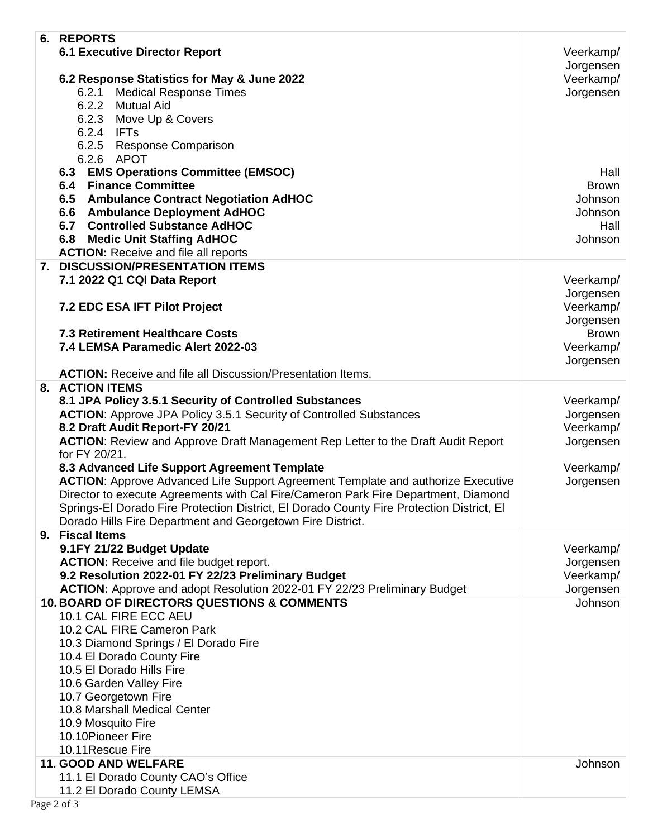| 6. REPORTS                                                                                                                                              |              |
|---------------------------------------------------------------------------------------------------------------------------------------------------------|--------------|
| <b>6.1 Executive Director Report</b>                                                                                                                    | Veerkamp/    |
|                                                                                                                                                         | Jorgensen    |
| 6.2 Response Statistics for May & June 2022                                                                                                             | Veerkamp/    |
| <b>Medical Response Times</b><br>6.2.1<br>6.2.2                                                                                                         | Jorgensen    |
| Mutual Aid<br>6.2.3<br>Move Up & Covers                                                                                                                 |              |
| 6.2.4 IFTs                                                                                                                                              |              |
| 6.2.5<br><b>Response Comparison</b>                                                                                                                     |              |
| 6.2.6<br>APOT                                                                                                                                           |              |
| <b>EMS Operations Committee (EMSOC)</b><br>6.3                                                                                                          | Hall         |
| <b>Finance Committee</b><br>6.4                                                                                                                         | <b>Brown</b> |
| 6.5 Ambulance Contract Negotiation AdHOC                                                                                                                | Johnson      |
| 6.6 Ambulance Deployment AdHOC                                                                                                                          | Johnson      |
| 6.7 Controlled Substance AdHOC                                                                                                                          | Hall         |
| 6.8 Medic Unit Staffing AdHOC                                                                                                                           | Johnson      |
| <b>ACTION:</b> Receive and file all reports<br>7. DISCUSSION/PRESENTATION ITEMS                                                                         |              |
| 7.1 2022 Q1 CQI Data Report                                                                                                                             | Veerkamp/    |
|                                                                                                                                                         | Jorgensen    |
| 7.2 EDC ESA IFT Pilot Project                                                                                                                           | Veerkamp/    |
|                                                                                                                                                         | Jorgensen    |
| <b>7.3 Retirement Healthcare Costs</b>                                                                                                                  | <b>Brown</b> |
| 7.4 LEMSA Paramedic Alert 2022-03                                                                                                                       | Veerkamp/    |
|                                                                                                                                                         | Jorgensen    |
| <b>ACTION:</b> Receive and file all Discussion/Presentation Items.                                                                                      |              |
| 8. ACTION ITEMS<br>8.1 JPA Policy 3.5.1 Security of Controlled Substances                                                                               | Veerkamp/    |
| <b>ACTION:</b> Approve JPA Policy 3.5.1 Security of Controlled Substances                                                                               | Jorgensen    |
| 8.2 Draft Audit Report-FY 20/21                                                                                                                         | Veerkamp/    |
| <b>ACTION:</b> Review and Approve Draft Management Rep Letter to the Draft Audit Report                                                                 | Jorgensen    |
| for FY 20/21.                                                                                                                                           |              |
| 8.3 Advanced Life Support Agreement Template                                                                                                            | Veerkamp/    |
| <b>ACTION:</b> Approve Advanced Life Support Agreement Template and authorize Executive                                                                 | Jorgensen    |
| Director to execute Agreements with Cal Fire/Cameron Park Fire Department, Diamond                                                                      |              |
| Springs-El Dorado Fire Protection District, El Dorado County Fire Protection District, El<br>Dorado Hills Fire Department and Georgetown Fire District. |              |
| 9. Fiscal Items                                                                                                                                         |              |
| 9.1FY 21/22 Budget Update                                                                                                                               | Veerkamp/    |
| <b>ACTION:</b> Receive and file budget report.                                                                                                          | Jorgensen    |
| 9.2 Resolution 2022-01 FY 22/23 Preliminary Budget                                                                                                      | Veerkamp/    |
| ACTION: Approve and adopt Resolution 2022-01 FY 22/23 Preliminary Budget                                                                                | Jorgensen    |
| <b>10. BOARD OF DIRECTORS QUESTIONS &amp; COMMENTS</b>                                                                                                  | Johnson      |
| 10.1 CAL FIRE ECC AEU                                                                                                                                   |              |
| 10.2 CAL FIRE Cameron Park                                                                                                                              |              |
| 10.3 Diamond Springs / El Dorado Fire<br>10.4 El Dorado County Fire                                                                                     |              |
| 10.5 El Dorado Hills Fire                                                                                                                               |              |
| 10.6 Garden Valley Fire                                                                                                                                 |              |
| 10.7 Georgetown Fire                                                                                                                                    |              |
| 10.8 Marshall Medical Center                                                                                                                            |              |
| 10.9 Mosquito Fire                                                                                                                                      |              |
| 10.10Pioneer Fire                                                                                                                                       |              |
| 10.11 Rescue Fire                                                                                                                                       |              |
| 11. GOOD AND WELFARE                                                                                                                                    | Johnson      |
| 11.1 El Dorado County CAO's Office<br>11.2 El Dorado County LEMSA                                                                                       |              |
|                                                                                                                                                         |              |